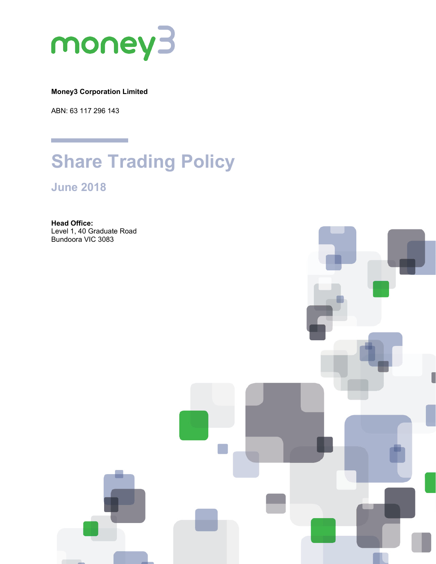

**Money3 Corporation Limited**

ABN: 63 117 296 143

# **Share Trading Policy**

**June 2018**

**Head Office:** Level 1, 40 Graduate Road Bundoora VIC 3083

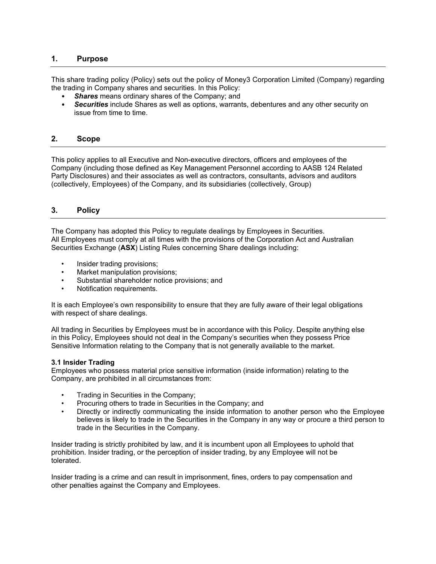## **1. Purpose**

This share trading policy (Policy) sets out the policy of Money3 Corporation Limited (Company) regarding the trading in Company shares and securities. In this Policy:

- **Shares** means ordinary shares of the Company; and
- *Securities* include Shares as well as options, warrants, debentures and any other security on issue from time to time.

#### **2. Scope**

This policy applies to all Executive and Non-executive directors, officers and employees of the Company (including those defined as Key Management Personnel according to AASB 124 Related Party Disclosures) and their associates as well as contractors, consultants, advisors and auditors (collectively, Employees) of the Company, and its subsidiaries (collectively, Group)

## **3. Policy**

The Company has adopted this Policy to regulate dealings by Employees in Securities. All Employees must comply at all times with the provisions of the Corporation Act and Australian Securities Exchange (**ASX**) Listing Rules concerning Share dealings including:

- Insider trading provisions;
- Market manipulation provisions;
- Substantial shareholder notice provisions; and
- Notification requirements.

It is each Employee's own responsibility to ensure that they are fully aware of their legal obligations with respect of share dealings.

All trading in Securities by Employees must be in accordance with this Policy. Despite anything else in this Policy, Employees should not deal in the Company's securities when they possess Price Sensitive Information relating to the Company that is not generally available to the market.

#### **3.1 Insider Trading**

Employees who possess material price sensitive information (inside information) relating to the Company, are prohibited in all circumstances from:

- Trading in Securities in the Company;
- Procuring others to trade in Securities in the Company; and
- Directly or indirectly communicating the inside information to another person who the Employee believes is likely to trade in the Securities in the Company in any way or procure a third person to trade in the Securities in the Company.

Insider trading is strictly prohibited by law, and it is incumbent upon all Employees to uphold that prohibition. Insider trading, or the perception of insider trading, by any Employee will not be tolerated.

Insider trading is a crime and can result in imprisonment, fines, orders to pay compensation and other penalties against the Company and Employees.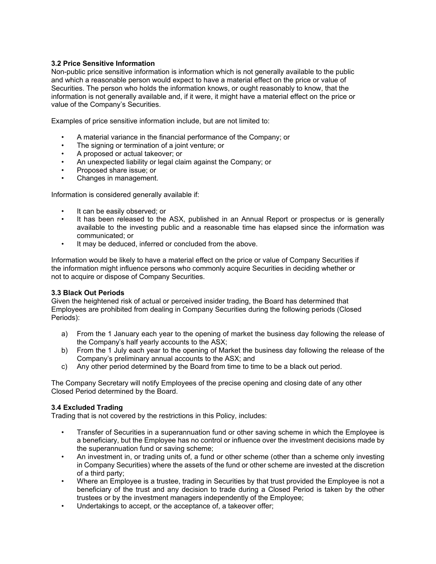#### **3.2 Price Sensitive Information**

Non-public price sensitive information is information which is not generally available to the public and which a reasonable person would expect to have a material effect on the price or value of Securities. The person who holds the information knows, or ought reasonably to know, that the information is not generally available and, if it were, it might have a material effect on the price or value of the Company's Securities.

Examples of price sensitive information include, but are not limited to:

- A material variance in the financial performance of the Company; or
- The signing or termination of a joint venture; or
- A proposed or actual takeover; or
- An unexpected liability or legal claim against the Company; or
- Proposed share issue; or
- Changes in management.

Information is considered generally available if:

- It can be easily observed; or
- It has been released to the ASX, published in an Annual Report or prospectus or is generally available to the investing public and a reasonable time has elapsed since the information was communicated; or
- It may be deduced, inferred or concluded from the above.

Information would be likely to have a material effect on the price or value of Company Securities if the information might influence persons who commonly acquire Securities in deciding whether or not to acquire or dispose of Company Securities.

#### **3.3 Black Out Periods**

Given the heightened risk of actual or perceived insider trading, the Board has determined that Employees are prohibited from dealing in Company Securities during the following periods (Closed Periods):

- a) From the 1 January each year to the opening of market the business day following the release of the Company's half yearly accounts to the ASX;
- b) From the 1 July each year to the opening of Market the business day following the release of the Company's preliminary annual accounts to the ASX; and
- c) Any other period determined by the Board from time to time to be a black out period.

The Company Secretary will notify Employees of the precise opening and closing date of any other Closed Period determined by the Board.

## **3.4 Excluded Trading**

Trading that is not covered by the restrictions in this Policy, includes:

- Transfer of Securities in a superannuation fund or other saving scheme in which the Employee is a beneficiary, but the Employee has no control or influence over the investment decisions made by the superannuation fund or saving scheme;
- An investment in, or trading units of, a fund or other scheme (other than a scheme only investing in Company Securities) where the assets of the fund or other scheme are invested at the discretion of a third party;
- Where an Employee is a trustee, trading in Securities by that trust provided the Employee is not a beneficiary of the trust and any decision to trade during a Closed Period is taken by the other trustees or by the investment managers independently of the Employee;
- Undertakings to accept, or the acceptance of, a takeover offer;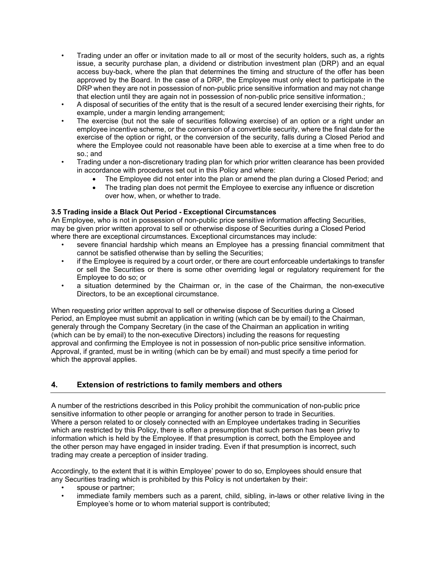- Trading under an offer or invitation made to all or most of the security holders, such as, a rights issue, a security purchase plan, a dividend or distribution investment plan (DRP) and an equal access buy-back, where the plan that determines the timing and structure of the offer has been approved by the Board. In the case of a DRP, the Employee must only elect to participate in the DRP when they are not in possession of non-public price sensitive information and may not change that election until they are again not in possession of non-public price sensitive information.;
- A disposal of securities of the entity that is the result of a secured lender exercising their rights, for example, under a margin lending arrangement;
- The exercise (but not the sale of securities following exercise) of an option or a right under an employee incentive scheme, or the conversion of a convertible security, where the final date for the exercise of the option or right, or the conversion of the security, falls during a Closed Period and where the Employee could not reasonable have been able to exercise at a time when free to do so.; and
- Trading under a non-discretionary trading plan for which prior written clearance has been provided in accordance with procedures set out in this Policy and where:
	- The Employee did not enter into the plan or amend the plan during a Closed Period; and
	- The trading plan does not permit the Employee to exercise any influence or discretion over how, when, or whether to trade.

#### **3.5 Trading inside a Black Out Period - Exceptional Circumstances**

An Employee, who is not in possession of non-public price sensitive information affecting Securities, may be given prior written approval to sell or otherwise dispose of Securities during a Closed Period where there are exceptional circumstances. Exceptional circumstances may include:

- severe financial hardship which means an Employee has a pressing financial commitment that cannot be satisfied otherwise than by selling the Securities;
- if the Employee is required by a court order, or there are court enforceable undertakings to transfer or sell the Securities or there is some other overriding legal or regulatory requirement for the Employee to do so; or
- a situation determined by the Chairman or, in the case of the Chairman, the non-executive Directors, to be an exceptional circumstance.

When requesting prior written approval to sell or otherwise dispose of Securities during a Closed Period, an Employee must submit an application in writing (which can be by email) to the Chairman, generaly through the Company Secretary (in the case of the Chairman an application in writing (which can be by email) to the non-executive Directors) including the reasons for requesting approval and confirming the Employee is not in possession of non-public price sensitive information. Approval, if granted, must be in writing (which can be by email) and must specify a time period for which the approval applies.

## **4. Extension of restrictions to family members and others**

A number of the restrictions described in this Policy prohibit the communication of non-public price sensitive information to other people or arranging for another person to trade in Securities. Where a person related to or closely connected with an Employee undertakes trading in Securities which are restricted by this Policy, there is often a presumption that such person has been privy to information which is held by the Employee. If that presumption is correct, both the Employee and the other person may have engaged in insider trading. Even if that presumption is incorrect, such trading may create a perception of insider trading.

Accordingly, to the extent that it is within Employee' power to do so, Employees should ensure that any Securities trading which is prohibited by this Policy is not undertaken by their:

- spouse or partner;
- immediate family members such as a parent, child, sibling, in-laws or other relative living in the Employee's home or to whom material support is contributed;